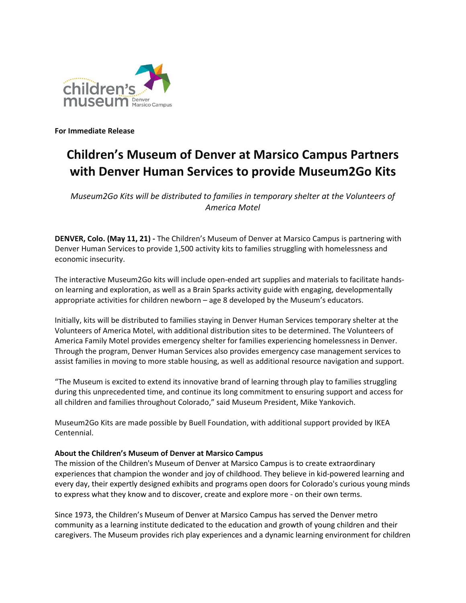

**For Immediate Release**

## **Children's Museum of Denver at Marsico Campus Partners with Denver Human Services to provide Museum2Go Kits**

*Museum2Go Kits will be distributed to families in temporary shelter at the Volunteers of America Motel*

**DENVER, Colo. (May 11, 21) -** The Children's Museum of Denver at Marsico Campus is partnering with Denver Human Services to provide 1,500 activity kits to families struggling with homelessness and economic insecurity.

The interactive Museum2Go kits will include open-ended art supplies and materials to facilitate handson learning and exploration, as well as a Brain Sparks activity guide with engaging, developmentally appropriate activities for children newborn – age 8 developed by the Museum's educators.

Initially, kits will be distributed to families staying in Denver Human Services temporary shelter at the Volunteers of America Motel, with additional distribution sites to be determined. The Volunteers of America Family Motel provides emergency shelter for families experiencing homelessness in Denver. Through the program, Denver Human Services also provides emergency case management services to assist families in moving to more stable housing, as well as additional resource navigation and support.

"The Museum is excited to extend its innovative brand of learning through play to families struggling during this unprecedented time, and continue its long commitment to ensuring support and access for all children and families throughout Colorado," said Museum President, Mike Yankovich.

Museum2Go Kits are made possible by Buell Foundation, with additional support provided by IKEA Centennial.

## **About the Children's Museum of Denver at Marsico Campus**

The mission of the Children's Museum of Denver at Marsico Campus is to create extraordinary experiences that champion the wonder and joy of childhood. They believe in kid-powered learning and every day, their expertly designed exhibits and programs open doors for Colorado's curious young minds to express what they know and to discover, create and explore more - on their own terms.

Since 1973, the Children's Museum of Denver at Marsico Campus has served the Denver metro community as a learning institute dedicated to the education and growth of young children and their caregivers. The Museum provides rich play experiences and a dynamic learning environment for children